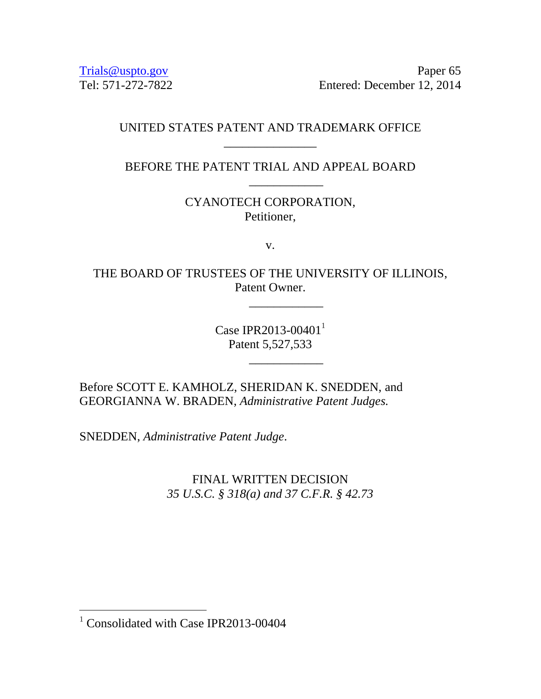[Trials@uspto.gov](mailto:Trials@uspto.gov) Paper 65 Tel: 571-272-7822 Entered: December 12, 2014

## UNITED STATES PATENT AND TRADEMARK OFFICE \_\_\_\_\_\_\_\_\_\_\_\_\_\_\_

BEFORE THE PATENT TRIAL AND APPEAL BOARD

\_\_\_\_\_\_\_\_\_\_\_\_

CYANOTECH CORPORATION, Petitioner,

v.

THE BOARD OF TRUSTEES OF THE UNIVERSITY OF ILLINOIS, Patent Owner.

\_\_\_\_\_\_\_\_\_\_\_\_

\_\_\_\_\_\_\_\_\_\_\_\_

Case IPR2013-00401 $^{1}$ Patent 5,527,533

Before SCOTT E. KAMHOLZ, SHERIDAN K. SNEDDEN, and GEORGIANNA W. BRADEN, *Administrative Patent Judges.* 

SNEDDEN, *Administrative Patent Judge*.

FINAL WRITTEN DECISION *35 U.S.C. § 318(a) and 37 C.F.R. § 42.73*

 $\overline{a}$ 

 $1$  Consolidated with Case IPR2013-00404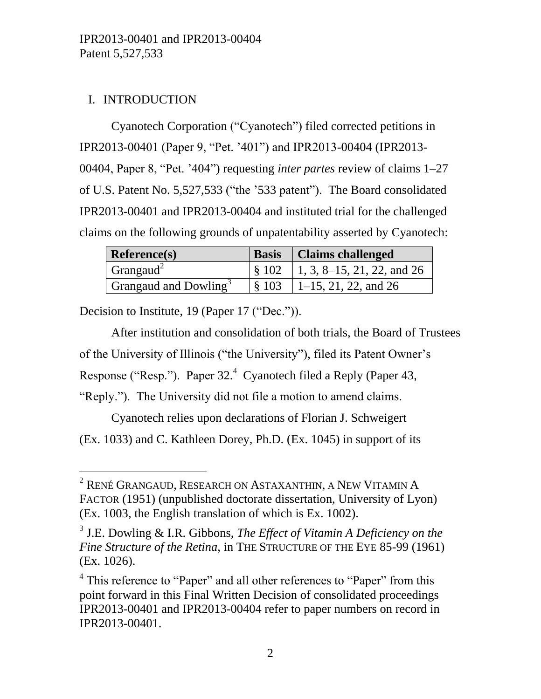# I. INTRODUCTION

 $\overline{a}$ 

Cyanotech Corporation ("Cyanotech") filed corrected petitions in IPR2013-00401 (Paper 9, "Pet. '401") and IPR2013-00404 (IPR2013- 00404, Paper 8, "Pet. '404") requesting *inter partes* review of claims 1–27 of U.S. Patent No. 5,527,533 ("the '533 patent"). The Board consolidated IPR2013-00401 and IPR2013-00404 and instituted trial for the challenged claims on the following grounds of unpatentability asserted by Cyanotech:

| <b>Reference(s)</b>               | <b>Basis</b>   Claims challenged                  |
|-----------------------------------|---------------------------------------------------|
| Grangaud <sup>2</sup>             | $\frac{1}{2}$ \$ 102   1, 3, 8–15, 21, 22, and 26 |
| Grangaud and Dowling <sup>3</sup> | $\frac{1}{2}$ \$ 103   1–15, 21, 22, and 26       |

Decision to Institute, 19 (Paper 17 ("Dec.")).

After institution and consolidation of both trials, the Board of Trustees of the University of Illinois ("the University"), filed its Patent Owner's Response ("Resp."). Paper 32.<sup>4</sup> Cyanotech filed a Reply (Paper 43, "Reply."). The University did not file a motion to amend claims.

Cyanotech relies upon declarations of Florian J. Schweigert

(Ex. 1033) and C. Kathleen Dorey, Ph.D. (Ex. 1045) in support of its

 $^{2}$  René Grangaud, Research on Astaxanthin, a New Vitamin A FACTOR (1951) (unpublished doctorate dissertation, University of Lyon) (Ex. 1003, the English translation of which is Ex. 1002).

<sup>3</sup> J.E. Dowling & I.R. Gibbons, *The Effect of Vitamin A Deficiency on the Fine Structure of the Retina*, in THE STRUCTURE OF THE EYE 85-99 (1961) (Ex. 1026).

<sup>&</sup>lt;sup>4</sup> This reference to "Paper" and all other references to "Paper" from this point forward in this Final Written Decision of consolidated proceedings IPR2013-00401 and IPR2013-00404 refer to paper numbers on record in IPR2013-00401.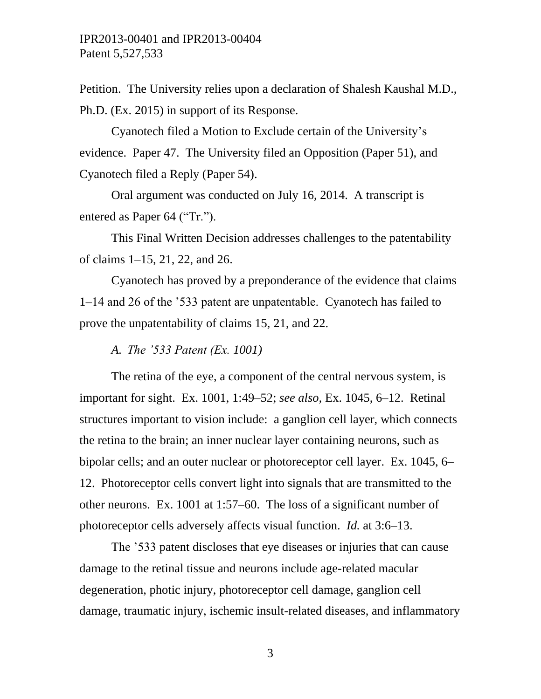Petition. The University relies upon a declaration of Shalesh Kaushal M.D., Ph.D. (Ex. 2015) in support of its Response.

Cyanotech filed a Motion to Exclude certain of the University's evidence. Paper 47. The University filed an Opposition (Paper 51), and Cyanotech filed a Reply (Paper 54).

Oral argument was conducted on July 16, 2014. A transcript is entered as Paper 64 ("Tr.").

This Final Written Decision addresses challenges to the patentability of claims 1–15, 21, 22, and 26.

Cyanotech has proved by a preponderance of the evidence that claims 1–14 and 26 of the '533 patent are unpatentable. Cyanotech has failed to prove the unpatentability of claims 15, 21, and 22.

*A. The '533 Patent (Ex. 1001)*

The retina of the eye, a component of the central nervous system, is important for sight. Ex. 1001, 1:49–52; *see also,* Ex. 1045, 6–12. Retinal structures important to vision include: a ganglion cell layer, which connects the retina to the brain; an inner nuclear layer containing neurons, such as bipolar cells; and an outer nuclear or photoreceptor cell layer. Ex. 1045, 6– 12. Photoreceptor cells convert light into signals that are transmitted to the other neurons. Ex. 1001 at 1:57–60. The loss of a significant number of photoreceptor cells adversely affects visual function. *Id.* at 3:6–13.

The '533 patent discloses that eye diseases or injuries that can cause damage to the retinal tissue and neurons include age-related macular degeneration, photic injury, photoreceptor cell damage, ganglion cell damage, traumatic injury, ischemic insult-related diseases, and inflammatory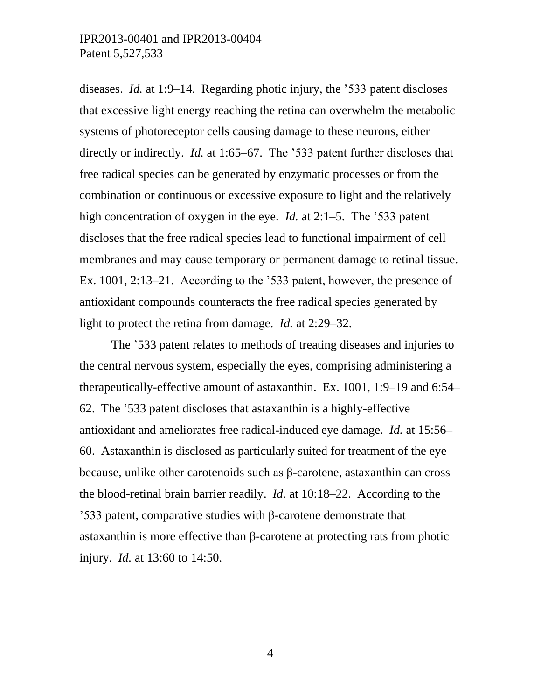diseases. *Id.* at 1:9–14. Regarding photic injury, the '533 patent discloses that excessive light energy reaching the retina can overwhelm the metabolic systems of photoreceptor cells causing damage to these neurons, either directly or indirectly. *Id.* at 1:65–67. The '533 patent further discloses that free radical species can be generated by enzymatic processes or from the combination or continuous or excessive exposure to light and the relatively high concentration of oxygen in the eye. *Id.* at 2:1–5. The '533 patent discloses that the free radical species lead to functional impairment of cell membranes and may cause temporary or permanent damage to retinal tissue. Ex. 1001, 2:13–21. According to the '533 patent, however, the presence of antioxidant compounds counteracts the free radical species generated by light to protect the retina from damage. *Id.* at 2:29–32.

The '533 patent relates to methods of treating diseases and injuries to the central nervous system, especially the eyes, comprising administering a therapeutically-effective amount of astaxanthin. Ex. 1001, 1:9–19 and 6:54– 62. The '533 patent discloses that astaxanthin is a highly-effective antioxidant and ameliorates free radical-induced eye damage. *Id.* at 15:56– 60. Astaxanthin is disclosed as particularly suited for treatment of the eye because, unlike other carotenoids such as β-carotene, astaxanthin can cross the blood-retinal brain barrier readily. *Id.* at 10:18–22. According to the '533 patent, comparative studies with β-carotene demonstrate that astaxanthin is more effective than β-carotene at protecting rats from photic injury. *Id.* at 13:60 to 14:50.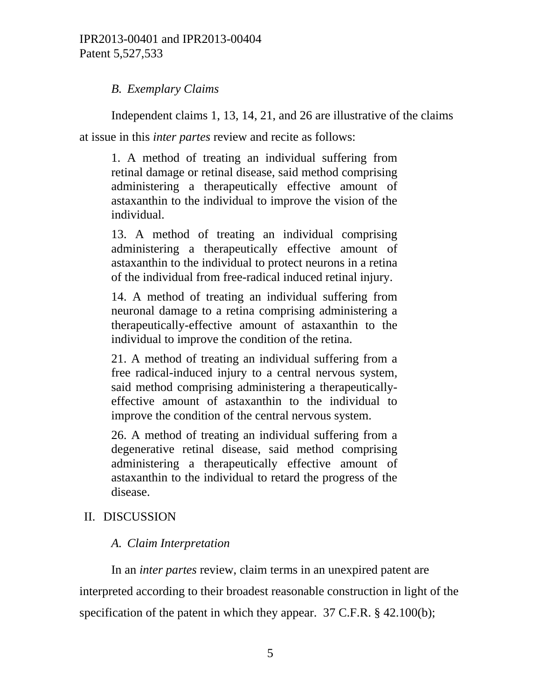## *B. Exemplary Claims*

Independent claims 1, 13, 14, 21, and 26 are illustrative of the claims at issue in this *inter partes* review and recite as follows:

1. A method of treating an individual suffering from retinal damage or retinal disease, said method comprising administering a therapeutically effective amount of astaxanthin to the individual to improve the vision of the individual.

13. A method of treating an individual comprising administering a therapeutically effective amount of astaxanthin to the individual to protect neurons in a retina of the individual from free-radical induced retinal injury.

14. A method of treating an individual suffering from neuronal damage to a retina comprising administering a therapeutically-effective amount of astaxanthin to the individual to improve the condition of the retina.

21. A method of treating an individual suffering from a free radical-induced injury to a central nervous system, said method comprising administering a therapeuticallyeffective amount of astaxanthin to the individual to improve the condition of the central nervous system.

26. A method of treating an individual suffering from a degenerative retinal disease, said method comprising administering a therapeutically effective amount of astaxanthin to the individual to retard the progress of the disease.

# II. DISCUSSION

# *A. Claim Interpretation*

In an *inter partes* review, claim terms in an unexpired patent are interpreted according to their broadest reasonable construction in light of the specification of the patent in which they appear. 37 C.F.R. § 42.100(b);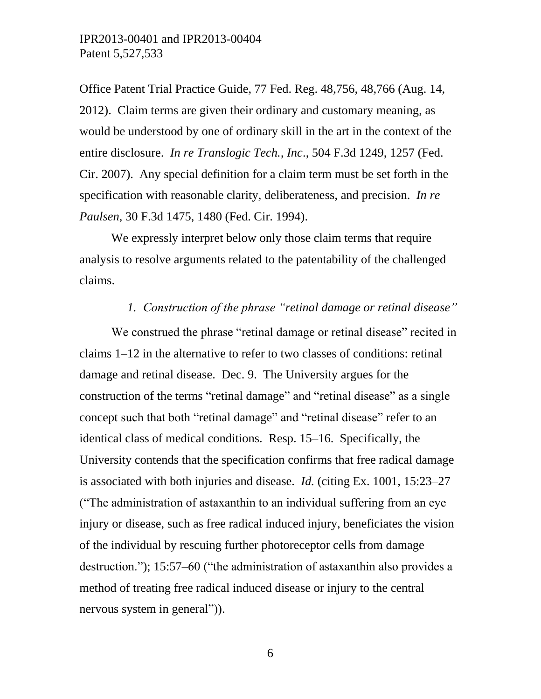Office Patent Trial Practice Guide, 77 Fed. Reg. 48,756, 48,766 (Aug. 14, 2012). Claim terms are given their ordinary and customary meaning, as would be understood by one of ordinary skill in the art in the context of the entire disclosure. *In re Translogic Tech., Inc*., 504 F.3d 1249, 1257 (Fed. Cir. 2007). Any special definition for a claim term must be set forth in the specification with reasonable clarity, deliberateness, and precision. *In re Paulsen*, 30 F.3d 1475, 1480 (Fed. Cir. 1994).

We expressly interpret below only those claim terms that require analysis to resolve arguments related to the patentability of the challenged claims.

### *1. Construction of the phrase "retinal damage or retinal disease"*

We construed the phrase "retinal damage or retinal disease" recited in claims 1–12 in the alternative to refer to two classes of conditions: retinal damage and retinal disease. Dec. 9. The University argues for the construction of the terms "retinal damage" and "retinal disease" as a single concept such that both "retinal damage" and "retinal disease" refer to an identical class of medical conditions. Resp. 15–16. Specifically, the University contends that the specification confirms that free radical damage is associated with both injuries and disease. *Id.* (citing Ex. 1001, 15:23–27 ("The administration of astaxanthin to an individual suffering from an eye injury or disease, such as free radical induced injury, beneficiates the vision of the individual by rescuing further photoreceptor cells from damage destruction."); 15:57–60 ("the administration of astaxanthin also provides a method of treating free radical induced disease or injury to the central nervous system in general")).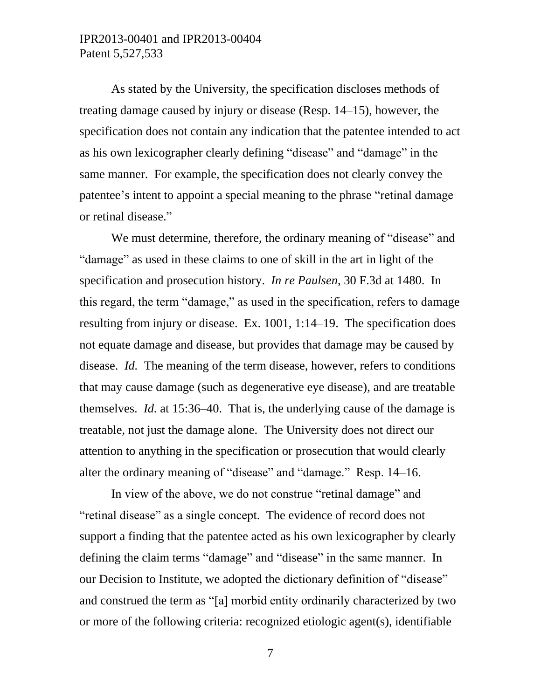As stated by the University, the specification discloses methods of treating damage caused by injury or disease (Resp. 14–15), however, the specification does not contain any indication that the patentee intended to act as his own lexicographer clearly defining "disease" and "damage" in the same manner. For example, the specification does not clearly convey the patentee's intent to appoint a special meaning to the phrase "retinal damage or retinal disease."

We must determine, therefore, the ordinary meaning of "disease" and "damage" as used in these claims to one of skill in the art in light of the specification and prosecution history. *In re Paulsen*, 30 F.3d at 1480. In this regard, the term "damage," as used in the specification, refers to damage resulting from injury or disease. Ex. 1001, 1:14–19. The specification does not equate damage and disease, but provides that damage may be caused by disease. *Id.* The meaning of the term disease, however, refers to conditions that may cause damage (such as degenerative eye disease), and are treatable themselves. *Id.* at 15:36–40. That is, the underlying cause of the damage is treatable, not just the damage alone. The University does not direct our attention to anything in the specification or prosecution that would clearly alter the ordinary meaning of "disease" and "damage." Resp. 14–16.

In view of the above, we do not construe "retinal damage" and "retinal disease" as a single concept. The evidence of record does not support a finding that the patentee acted as his own lexicographer by clearly defining the claim terms "damage" and "disease" in the same manner. In our Decision to Institute, we adopted the dictionary definition of "disease" and construed the term as "[a] morbid entity ordinarily characterized by two or more of the following criteria: recognized etiologic agent(s), identifiable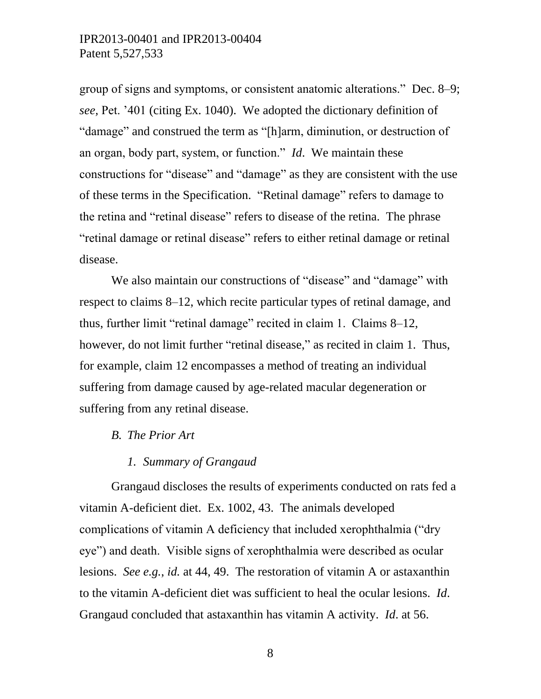group of signs and symptoms, or consistent anatomic alterations." Dec. 8–9; *see,* Pet. '401 (citing Ex. 1040). We adopted the dictionary definition of "damage" and construed the term as "[h]arm, diminution, or destruction of an organ, body part, system, or function." *Id*. We maintain these constructions for "disease" and "damage" as they are consistent with the use of these terms in the Specification. "Retinal damage" refers to damage to the retina and "retinal disease" refers to disease of the retina. The phrase "retinal damage or retinal disease" refers to either retinal damage or retinal disease.

We also maintain our constructions of "disease" and "damage" with respect to claims 8–12, which recite particular types of retinal damage, and thus, further limit "retinal damage" recited in claim 1. Claims 8–12, however, do not limit further "retinal disease," as recited in claim 1. Thus, for example, claim 12 encompasses a method of treating an individual suffering from damage caused by age-related macular degeneration or suffering from any retinal disease.

#### *B. The Prior Art*

#### *1. Summary of Grangaud*

Grangaud discloses the results of experiments conducted on rats fed a vitamin A-deficient diet. Ex. 1002, 43. The animals developed complications of vitamin A deficiency that included xerophthalmia ("dry eye") and death. Visible signs of xerophthalmia were described as ocular lesions. *See e.g.*, *id.* at 44, 49. The restoration of vitamin A or astaxanthin to the vitamin A-deficient diet was sufficient to heal the ocular lesions. *Id*. Grangaud concluded that astaxanthin has vitamin A activity. *Id*. at 56.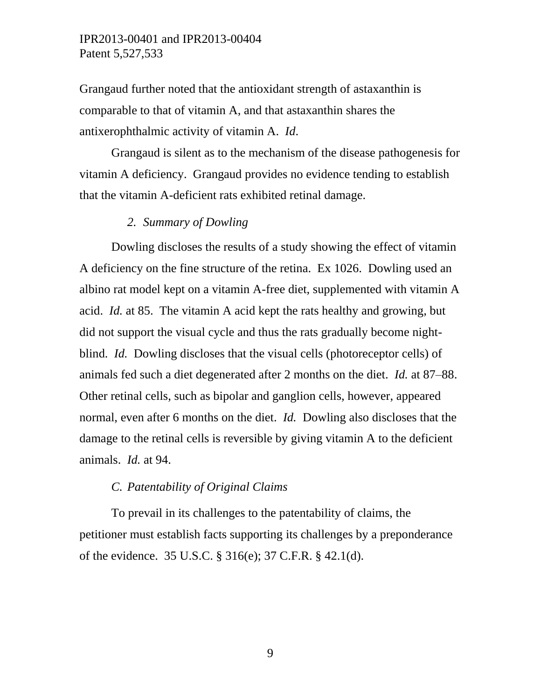Grangaud further noted that the antioxidant strength of astaxanthin is comparable to that of vitamin A, and that astaxanthin shares the antixerophthalmic activity of vitamin A. *Id*.

Grangaud is silent as to the mechanism of the disease pathogenesis for vitamin A deficiency. Grangaud provides no evidence tending to establish that the vitamin A-deficient rats exhibited retinal damage.

#### *2. Summary of Dowling*

Dowling discloses the results of a study showing the effect of vitamin A deficiency on the fine structure of the retina. Ex 1026. Dowling used an albino rat model kept on a vitamin A-free diet, supplemented with vitamin A acid. *Id.* at 85. The vitamin A acid kept the rats healthy and growing, but did not support the visual cycle and thus the rats gradually become nightblind. *Id.* Dowling discloses that the visual cells (photoreceptor cells) of animals fed such a diet degenerated after 2 months on the diet. *Id.* at 87–88. Other retinal cells, such as bipolar and ganglion cells, however, appeared normal, even after 6 months on the diet. *Id.* Dowling also discloses that the damage to the retinal cells is reversible by giving vitamin A to the deficient animals. *Id.* at 94.

#### *C. Patentability of Original Claims*

To prevail in its challenges to the patentability of claims, the petitioner must establish facts supporting its challenges by a preponderance of the evidence. 35 U.S.C. § 316(e); 37 C.F.R. § 42.1(d).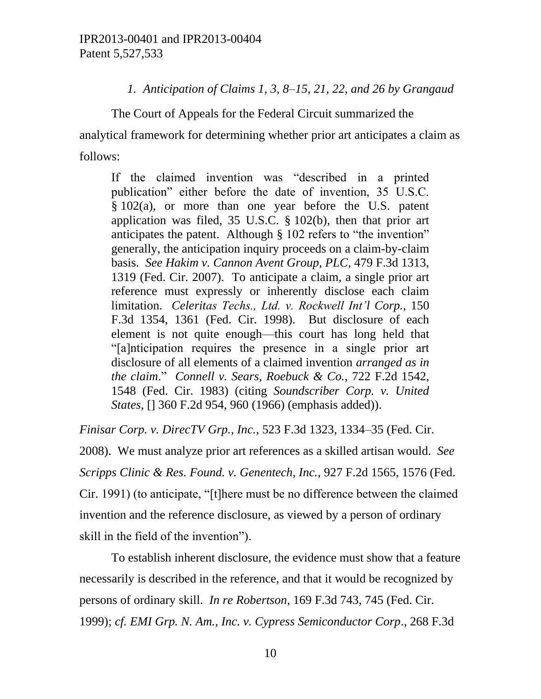### *1. Anticipation of Claims 1, 3, 8–15, 21, 22, and 26 by Grangaud*

The Court of Appeals for the Federal Circuit summarized the analytical framework for determining whether prior art anticipates a claim as follows:

If the claimed invention was "described in a printed publication" either before the date of invention, 35 U.S.C. § 102(a), or more than one year before the U.S. patent application was filed, 35 U.S.C. § 102(b), then that prior art anticipates the patent. Although § 102 refers to "the invention" generally, the anticipation inquiry proceeds on a claim-by-claim basis. *See Hakim v. Cannon Avent Group, PLC*, 479 F.3d 1313, 1319 (Fed. Cir. 2007). To anticipate a claim, a single prior art reference must expressly or inherently disclose each claim limitation. *Celeritas Techs., Ltd. v. Rockwell Int'l Corp.*, 150 F.3d 1354, 1361 (Fed. Cir. 1998). But disclosure of each element is not quite enough—this court has long held that "[a]nticipation requires the presence in a single prior art disclosure of all elements of a claimed invention *arranged as in the claim*." *Connell v. Sears, Roebuck & Co.*, 722 F.2d 1542, 1548 (Fed. Cir. 1983) (citing *Soundscriber Corp. v. United States*, [] 360 F.2d 954, 960 (1966) (emphasis added)).

*Finisar Corp. v. DirecTV Grp., Inc.*, 523 F.3d 1323, 1334–35 (Fed. Cir.

2008). We must analyze prior art references as a skilled artisan would. *See Scripps Clinic & Res. Found. v. Genentech, Inc.*, 927 F.2d 1565, 1576 (Fed. Cir. 1991) (to anticipate, "[t]here must be no difference between the claimed invention and the reference disclosure, as viewed by a person of ordinary skill in the field of the invention").

To establish inherent disclosure, the evidence must show that a feature necessarily is described in the reference, and that it would be recognized by persons of ordinary skill. *In re Robertson*, 169 F.3d 743, 745 (Fed. Cir. 1999); *cf. EMI Grp. N. Am., Inc. v. Cypress Semiconductor Corp*., 268 F.3d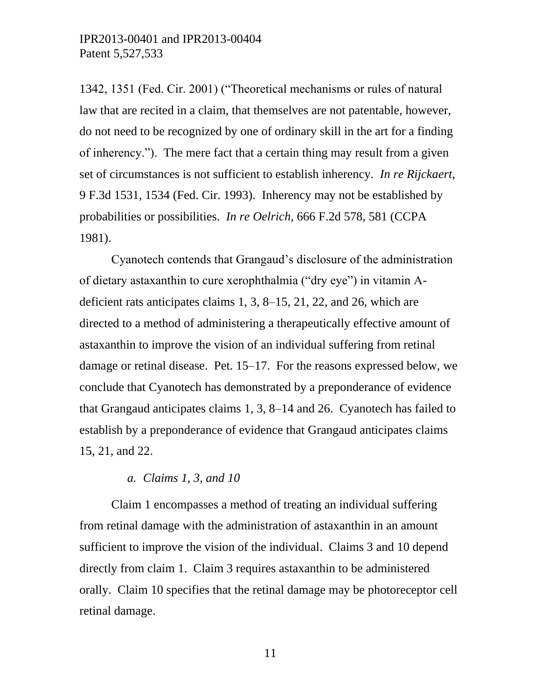1342, 1351 (Fed. Cir. 2001) ("Theoretical mechanisms or rules of natural law that are recited in a claim, that themselves are not patentable, however, do not need to be recognized by one of ordinary skill in the art for a finding of inherency."). The mere fact that a certain thing may result from a given set of circumstances is not sufficient to establish inherency. *In re Rijckaert*, 9 F.3d 1531, 1534 (Fed. Cir. 1993). Inherency may not be established by probabilities or possibilities. *In re Oelrich*, 666 F.2d 578, 581 (CCPA 1981).

Cyanotech contends that Grangaud's disclosure of the administration of dietary astaxanthin to cure xerophthalmia ("dry eye") in vitamin Adeficient rats anticipates claims 1, 3, 8–15, 21, 22, and 26, which are directed to a method of administering a therapeutically effective amount of astaxanthin to improve the vision of an individual suffering from retinal damage or retinal disease. Pet. 15–17. For the reasons expressed below, we conclude that Cyanotech has demonstrated by a preponderance of evidence that Grangaud anticipates claims 1, 3, 8–14 and 26. Cyanotech has failed to establish by a preponderance of evidence that Grangaud anticipates claims 15, 21, and 22.

#### *a. Claims 1, 3, and 10*

Claim 1 encompasses a method of treating an individual suffering from retinal damage with the administration of astaxanthin in an amount sufficient to improve the vision of the individual. Claims 3 and 10 depend directly from claim 1. Claim 3 requires astaxanthin to be administered orally. Claim 10 specifies that the retinal damage may be photoreceptor cell retinal damage.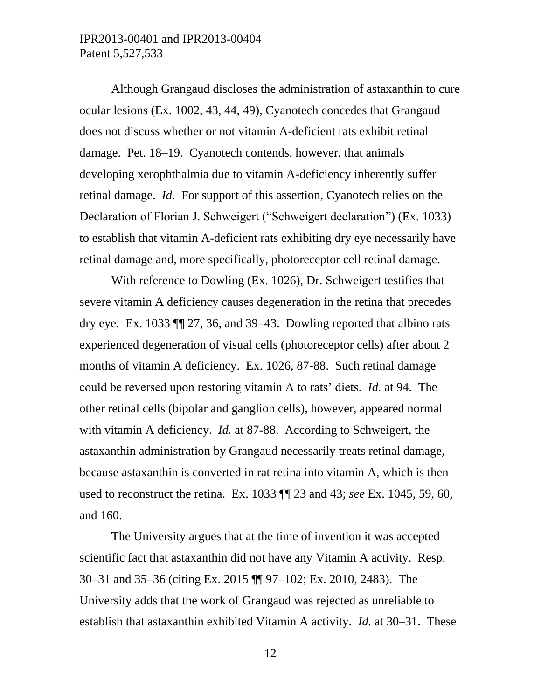Although Grangaud discloses the administration of astaxanthin to cure ocular lesions (Ex. 1002, 43, 44, 49), Cyanotech concedes that Grangaud does not discuss whether or not vitamin A-deficient rats exhibit retinal damage. Pet. 18–19. Cyanotech contends, however, that animals developing xerophthalmia due to vitamin A-deficiency inherently suffer retinal damage. *Id.* For support of this assertion, Cyanotech relies on the Declaration of Florian J. Schweigert ("Schweigert declaration") (Ex. 1033) to establish that vitamin A-deficient rats exhibiting dry eye necessarily have retinal damage and, more specifically, photoreceptor cell retinal damage.

With reference to Dowling (Ex. 1026), Dr. Schweigert testifies that severe vitamin A deficiency causes degeneration in the retina that precedes dry eye. Ex. 1033 ¶¶ 27, 36, and 39–43. Dowling reported that albino rats experienced degeneration of visual cells (photoreceptor cells) after about 2 months of vitamin A deficiency. Ex. 1026, 87-88. Such retinal damage could be reversed upon restoring vitamin A to rats' diets. *Id.* at 94. The other retinal cells (bipolar and ganglion cells), however, appeared normal with vitamin A deficiency. *Id.* at 87-88. According to Schweigert, the astaxanthin administration by Grangaud necessarily treats retinal damage, because astaxanthin is converted in rat retina into vitamin A, which is then used to reconstruct the retina. Ex. 1033 ¶¶ 23 and 43; *see* Ex. 1045, 59, 60, and 160.

The University argues that at the time of invention it was accepted scientific fact that astaxanthin did not have any Vitamin A activity. Resp. 30–31 and 35–36 (citing Ex. 2015 ¶¶ 97–102; Ex. 2010, 2483). The University adds that the work of Grangaud was rejected as unreliable to establish that astaxanthin exhibited Vitamin A activity. *Id.* at 30–31. These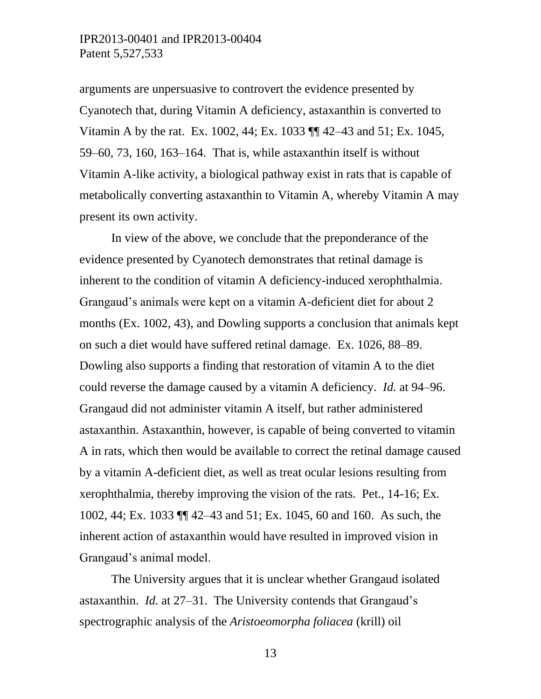arguments are unpersuasive to controvert the evidence presented by Cyanotech that, during Vitamin A deficiency, astaxanthin is converted to Vitamin A by the rat. Ex. 1002, 44; Ex. 1033 ¶¶ 42–43 and 51; Ex. 1045, 59–60, 73, 160, 163–164. That is, while astaxanthin itself is without Vitamin A-like activity, a biological pathway exist in rats that is capable of metabolically converting astaxanthin to Vitamin A, whereby Vitamin A may present its own activity.

In view of the above, we conclude that the preponderance of the evidence presented by Cyanotech demonstrates that retinal damage is inherent to the condition of vitamin A deficiency-induced xerophthalmia. Grangaud's animals were kept on a vitamin A-deficient diet for about 2 months (Ex. 1002, 43), and Dowling supports a conclusion that animals kept on such a diet would have suffered retinal damage. Ex. 1026, 88–89. Dowling also supports a finding that restoration of vitamin A to the diet could reverse the damage caused by a vitamin A deficiency. *Id.* at 94–96. Grangaud did not administer vitamin A itself, but rather administered astaxanthin. Astaxanthin, however, is capable of being converted to vitamin A in rats, which then would be available to correct the retinal damage caused by a vitamin A-deficient diet, as well as treat ocular lesions resulting from xerophthalmia, thereby improving the vision of the rats. Pet., 14-16; Ex. 1002, 44; Ex. 1033 ¶¶ 42–43 and 51; Ex. 1045, 60 and 160. As such, the inherent action of astaxanthin would have resulted in improved vision in Grangaud's animal model.

The University argues that it is unclear whether Grangaud isolated astaxanthin. *Id.* at 27–31. The University contends that Grangaud's spectrographic analysis of the *Aristoeomorpha foliacea* (krill) oil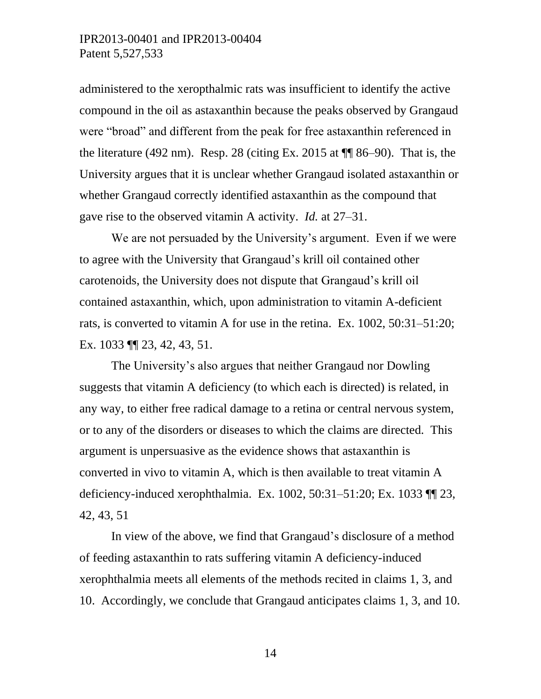administered to the xeropthalmic rats was insufficient to identify the active compound in the oil as astaxanthin because the peaks observed by Grangaud were "broad" and different from the peak for free astaxanthin referenced in the literature (492 nm). Resp. 28 (citing Ex. 2015 at  $\P$  86–90). That is, the University argues that it is unclear whether Grangaud isolated astaxanthin or whether Grangaud correctly identified astaxanthin as the compound that gave rise to the observed vitamin A activity. *Id.* at 27–31.

We are not persuaded by the University's argument. Even if we were to agree with the University that Grangaud's krill oil contained other carotenoids, the University does not dispute that Grangaud's krill oil contained astaxanthin, which, upon administration to vitamin A-deficient rats, is converted to vitamin A for use in the retina. Ex. 1002, 50:31–51:20; Ex. 1033 ¶¶ 23, 42, 43, 51.

The University's also argues that neither Grangaud nor Dowling suggests that vitamin A deficiency (to which each is directed) is related, in any way, to either free radical damage to a retina or central nervous system, or to any of the disorders or diseases to which the claims are directed. This argument is unpersuasive as the evidence shows that astaxanthin is converted in vivo to vitamin A, which is then available to treat vitamin A deficiency-induced xerophthalmia. Ex. 1002, 50:31–51:20; Ex. 1033 ¶¶ 23, 42, 43, 51

In view of the above, we find that Grangaud's disclosure of a method of feeding astaxanthin to rats suffering vitamin A deficiency-induced xerophthalmia meets all elements of the methods recited in claims 1, 3, and 10. Accordingly, we conclude that Grangaud anticipates claims 1, 3, and 10.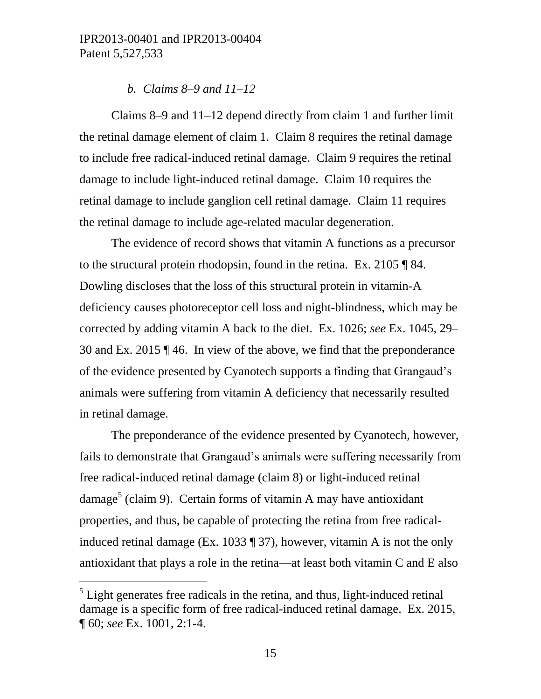#### *b. Claims 8–9 and 11–12*

Claims 8–9 and 11–12 depend directly from claim 1 and further limit the retinal damage element of claim 1. Claim 8 requires the retinal damage to include free radical-induced retinal damage. Claim 9 requires the retinal damage to include light-induced retinal damage. Claim 10 requires the retinal damage to include ganglion cell retinal damage. Claim 11 requires the retinal damage to include age-related macular degeneration.

The evidence of record shows that vitamin A functions as a precursor to the structural protein rhodopsin, found in the retina. Ex. 2105 ¶ 84. Dowling discloses that the loss of this structural protein in vitamin-A deficiency causes photoreceptor cell loss and night-blindness, which may be corrected by adding vitamin A back to the diet. Ex. 1026; *see* Ex. 1045, 29– 30 and Ex. 2015 ¶ 46. In view of the above, we find that the preponderance of the evidence presented by Cyanotech supports a finding that Grangaud's animals were suffering from vitamin A deficiency that necessarily resulted in retinal damage.

The preponderance of the evidence presented by Cyanotech, however, fails to demonstrate that Grangaud's animals were suffering necessarily from free radical-induced retinal damage (claim 8) or light-induced retinal damage<sup>5</sup> (claim 9). Certain forms of vitamin A may have antioxidant properties, and thus, be capable of protecting the retina from free radicalinduced retinal damage (Ex. 1033 ¶ 37), however, vitamin A is not the only antioxidant that plays a role in the retina—at least both vitamin C and E also

l

 $<sup>5</sup>$  Light generates free radicals in the retina, and thus, light-induced retinal</sup> damage is a specific form of free radical-induced retinal damage. Ex. 2015, ¶ 60; *see* Ex. 1001, 2:1-4.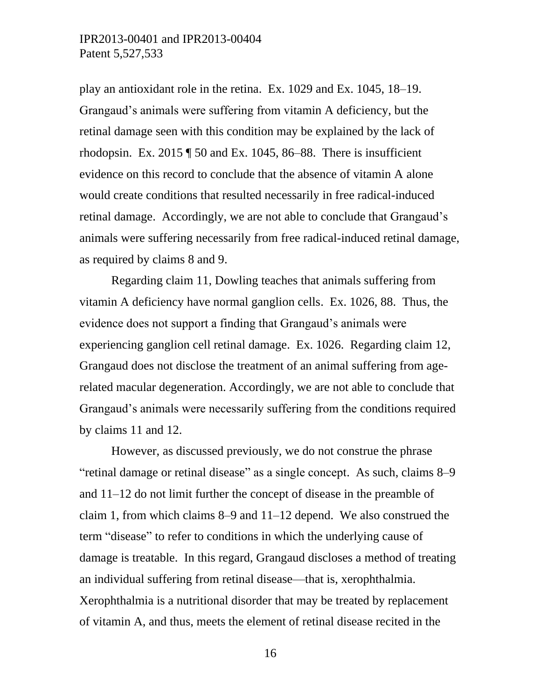play an antioxidant role in the retina. Ex. 1029 and Ex. 1045, 18–19. Grangaud's animals were suffering from vitamin A deficiency, but the retinal damage seen with this condition may be explained by the lack of rhodopsin. Ex.  $2015 \text{ T}$  50 and Ex. 1045, 86–88. There is insufficient evidence on this record to conclude that the absence of vitamin A alone would create conditions that resulted necessarily in free radical-induced retinal damage. Accordingly, we are not able to conclude that Grangaud's animals were suffering necessarily from free radical-induced retinal damage, as required by claims 8 and 9.

Regarding claim 11, Dowling teaches that animals suffering from vitamin A deficiency have normal ganglion cells. Ex. 1026, 88. Thus, the evidence does not support a finding that Grangaud's animals were experiencing ganglion cell retinal damage. Ex. 1026. Regarding claim 12, Grangaud does not disclose the treatment of an animal suffering from agerelated macular degeneration. Accordingly, we are not able to conclude that Grangaud's animals were necessarily suffering from the conditions required by claims 11 and 12.

However, as discussed previously, we do not construe the phrase "retinal damage or retinal disease" as a single concept. As such, claims 8–9 and 11–12 do not limit further the concept of disease in the preamble of claim 1, from which claims 8–9 and 11–12 depend. We also construed the term "disease" to refer to conditions in which the underlying cause of damage is treatable. In this regard, Grangaud discloses a method of treating an individual suffering from retinal disease—that is, xerophthalmia. Xerophthalmia is a nutritional disorder that may be treated by replacement of vitamin A, and thus, meets the element of retinal disease recited in the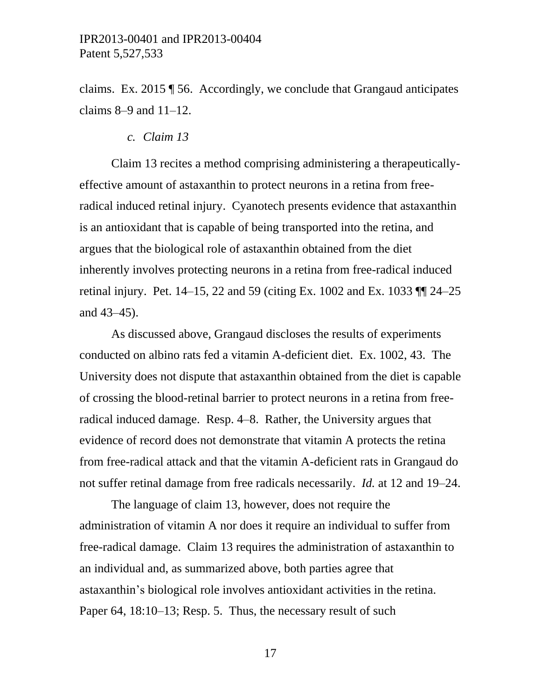claims. Ex. 2015 ¶ 56. Accordingly, we conclude that Grangaud anticipates claims 8–9 and 11–12.

*c. Claim 13*

Claim 13 recites a method comprising administering a therapeuticallyeffective amount of astaxanthin to protect neurons in a retina from freeradical induced retinal injury. Cyanotech presents evidence that astaxanthin is an antioxidant that is capable of being transported into the retina, and argues that the biological role of astaxanthin obtained from the diet inherently involves protecting neurons in a retina from free-radical induced retinal injury. Pet. 14–15, 22 and 59 (citing Ex. 1002 and Ex. 1033 ¶¶ 24–25 and 43–45).

As discussed above, Grangaud discloses the results of experiments conducted on albino rats fed a vitamin A-deficient diet. Ex. 1002, 43. The University does not dispute that astaxanthin obtained from the diet is capable of crossing the blood-retinal barrier to protect neurons in a retina from freeradical induced damage. Resp. 4–8. Rather, the University argues that evidence of record does not demonstrate that vitamin A protects the retina from free-radical attack and that the vitamin A-deficient rats in Grangaud do not suffer retinal damage from free radicals necessarily. *Id.* at 12 and 19–24.

The language of claim 13, however, does not require the administration of vitamin A nor does it require an individual to suffer from free-radical damage. Claim 13 requires the administration of astaxanthin to an individual and, as summarized above, both parties agree that astaxanthin's biological role involves antioxidant activities in the retina. Paper 64, 18:10–13; Resp. 5. Thus, the necessary result of such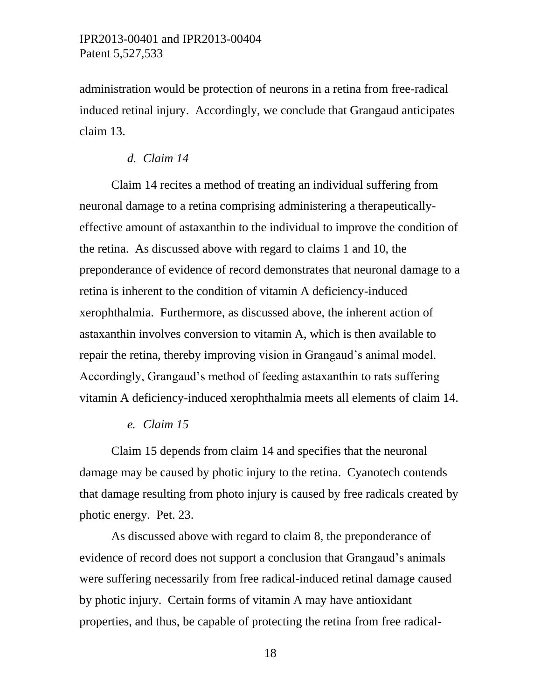administration would be protection of neurons in a retina from free-radical induced retinal injury. Accordingly, we conclude that Grangaud anticipates claim 13.

#### *d. Claim 14*

Claim 14 recites a method of treating an individual suffering from neuronal damage to a retina comprising administering a therapeuticallyeffective amount of astaxanthin to the individual to improve the condition of the retina. As discussed above with regard to claims 1 and 10, the preponderance of evidence of record demonstrates that neuronal damage to a retina is inherent to the condition of vitamin A deficiency-induced xerophthalmia. Furthermore, as discussed above, the inherent action of astaxanthin involves conversion to vitamin A, which is then available to repair the retina, thereby improving vision in Grangaud's animal model. Accordingly, Grangaud's method of feeding astaxanthin to rats suffering vitamin A deficiency-induced xerophthalmia meets all elements of claim 14.

#### *e. Claim 15*

Claim 15 depends from claim 14 and specifies that the neuronal damage may be caused by photic injury to the retina. Cyanotech contends that damage resulting from photo injury is caused by free radicals created by photic energy. Pet. 23.

As discussed above with regard to claim 8, the preponderance of evidence of record does not support a conclusion that Grangaud's animals were suffering necessarily from free radical-induced retinal damage caused by photic injury. Certain forms of vitamin A may have antioxidant properties, and thus, be capable of protecting the retina from free radical-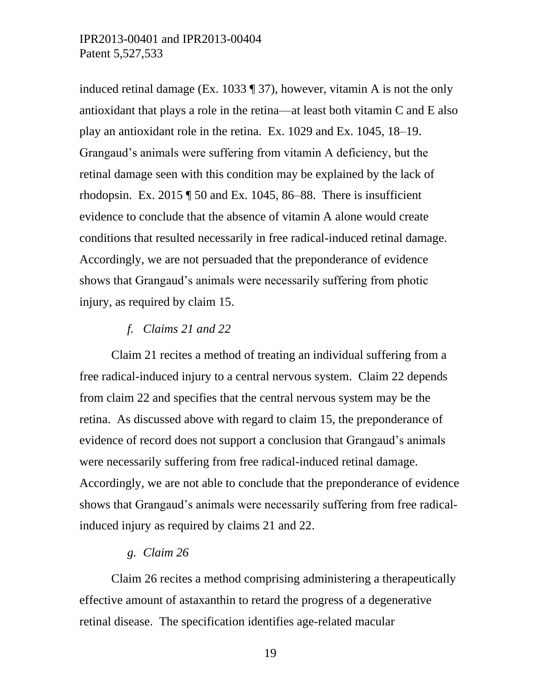induced retinal damage (Ex. 1033 ¶ 37), however, vitamin A is not the only antioxidant that plays a role in the retina—at least both vitamin C and E also play an antioxidant role in the retina. Ex. 1029 and Ex. 1045, 18–19. Grangaud's animals were suffering from vitamin A deficiency, but the retinal damage seen with this condition may be explained by the lack of rhodopsin. Ex.  $2015 \text{ T}$  50 and Ex. 1045, 86–88. There is insufficient evidence to conclude that the absence of vitamin A alone would create conditions that resulted necessarily in free radical-induced retinal damage. Accordingly, we are not persuaded that the preponderance of evidence shows that Grangaud's animals were necessarily suffering from photic injury, as required by claim 15.

### *f. Claims 21 and 22*

Claim 21 recites a method of treating an individual suffering from a free radical-induced injury to a central nervous system. Claim 22 depends from claim 22 and specifies that the central nervous system may be the retina. As discussed above with regard to claim 15, the preponderance of evidence of record does not support a conclusion that Grangaud's animals were necessarily suffering from free radical-induced retinal damage. Accordingly, we are not able to conclude that the preponderance of evidence shows that Grangaud's animals were necessarily suffering from free radicalinduced injury as required by claims 21 and 22.

#### *g. Claim 26*

Claim 26 recites a method comprising administering a therapeutically effective amount of astaxanthin to retard the progress of a degenerative retinal disease. The specification identifies age-related macular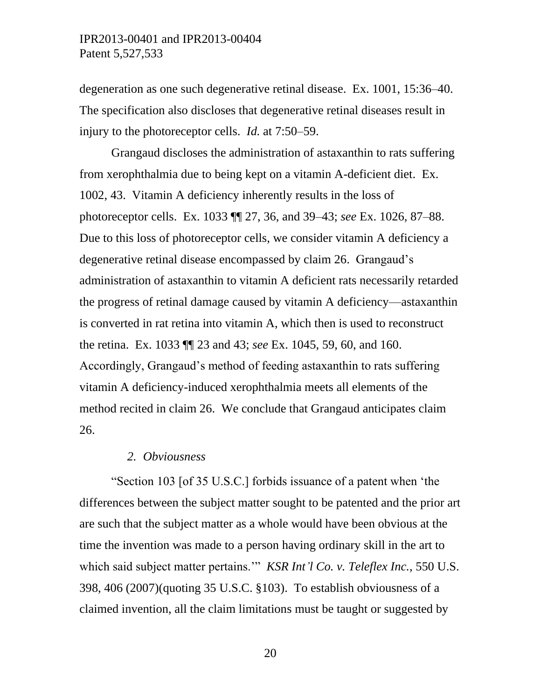degeneration as one such degenerative retinal disease. Ex. 1001, 15:36–40. The specification also discloses that degenerative retinal diseases result in injury to the photoreceptor cells. *Id.* at 7:50–59.

Grangaud discloses the administration of astaxanthin to rats suffering from xerophthalmia due to being kept on a vitamin A-deficient diet. Ex. 1002, 43. Vitamin A deficiency inherently results in the loss of photoreceptor cells. Ex. 1033 ¶¶ 27, 36, and 39–43; *see* Ex. 1026, 87–88. Due to this loss of photoreceptor cells, we consider vitamin A deficiency a degenerative retinal disease encompassed by claim 26. Grangaud's administration of astaxanthin to vitamin A deficient rats necessarily retarded the progress of retinal damage caused by vitamin A deficiency—astaxanthin is converted in rat retina into vitamin A, which then is used to reconstruct the retina. Ex. 1033 ¶¶ 23 and 43; *see* Ex. 1045, 59, 60, and 160. Accordingly, Grangaud's method of feeding astaxanthin to rats suffering vitamin A deficiency-induced xerophthalmia meets all elements of the method recited in claim 26. We conclude that Grangaud anticipates claim 26.

#### *2. Obviousness*

"Section 103 [of 35 U.S.C.] forbids issuance of a patent when 'the differences between the subject matter sought to be patented and the prior art are such that the subject matter as a whole would have been obvious at the time the invention was made to a person having ordinary skill in the art to which said subject matter pertains.'" *KSR Int'l Co. v. Teleflex Inc.*, 550 U.S. 398, 406 (2007)(quoting 35 U.S.C. §103). To establish obviousness of a claimed invention, all the claim limitations must be taught or suggested by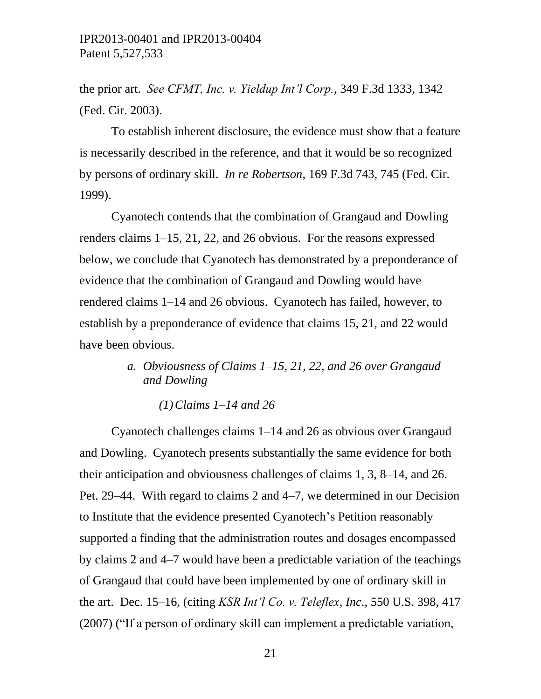the prior art. *See CFMT, Inc. v. Yieldup Int'l Corp.*, 349 F.3d 1333, 1342 (Fed. Cir. 2003).

To establish inherent disclosure, the evidence must show that a feature is necessarily described in the reference, and that it would be so recognized by persons of ordinary skill. *In re Robertson*, 169 F.3d 743, 745 (Fed. Cir. 1999).

Cyanotech contends that the combination of Grangaud and Dowling renders claims 1–15, 21, 22, and 26 obvious. For the reasons expressed below, we conclude that Cyanotech has demonstrated by a preponderance of evidence that the combination of Grangaud and Dowling would have rendered claims 1–14 and 26 obvious. Cyanotech has failed, however, to establish by a preponderance of evidence that claims 15, 21, and 22 would have been obvious.

> *a. Obviousness of Claims 1–15, 21, 22, and 26 over Grangaud and Dowling*

> > *(1)Claims 1–14 and 26*

Cyanotech challenges claims 1–14 and 26 as obvious over Grangaud and Dowling. Cyanotech presents substantially the same evidence for both their anticipation and obviousness challenges of claims 1, 3, 8–14, and 26. Pet. 29–44. With regard to claims 2 and 4–7, we determined in our Decision to Institute that the evidence presented Cyanotech's Petition reasonably supported a finding that the administration routes and dosages encompassed by claims 2 and 4–7 would have been a predictable variation of the teachings of Grangaud that could have been implemented by one of ordinary skill in the art. Dec. 15–16, (citing *KSR Int'l Co. v. Teleflex, Inc*., 550 U.S. 398, 417 (2007) ("If a person of ordinary skill can implement a predictable variation,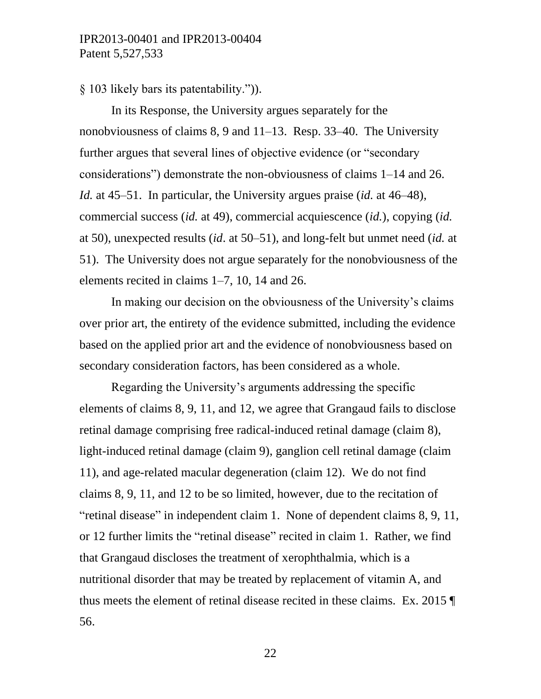§ 103 likely bars its patentability.")).

In its Response, the University argues separately for the nonobviousness of claims 8, 9 and 11–13. Resp. 33–40. The University further argues that several lines of objective evidence (or "secondary considerations") demonstrate the non-obviousness of claims 1–14 and 26. *Id.* at 45–51. In particular, the University argues praise (*id.* at 46–48), commercial success (*id.* at 49), commercial acquiescence (*id.*), copying (*id.* at 50), unexpected results (*id*. at 50–51), and long-felt but unmet need (*id.* at 51). The University does not argue separately for the nonobviousness of the elements recited in claims 1–7, 10, 14 and 26.

In making our decision on the obviousness of the University's claims over prior art, the entirety of the evidence submitted, including the evidence based on the applied prior art and the evidence of nonobviousness based on secondary consideration factors, has been considered as a whole.

Regarding the University's arguments addressing the specific elements of claims 8, 9, 11, and 12, we agree that Grangaud fails to disclose retinal damage comprising free radical-induced retinal damage (claim 8), light-induced retinal damage (claim 9), ganglion cell retinal damage (claim 11), and age-related macular degeneration (claim 12). We do not find claims 8, 9, 11, and 12 to be so limited, however, due to the recitation of "retinal disease" in independent claim 1. None of dependent claims 8, 9, 11, or 12 further limits the "retinal disease" recited in claim 1. Rather, we find that Grangaud discloses the treatment of xerophthalmia, which is a nutritional disorder that may be treated by replacement of vitamin A, and thus meets the element of retinal disease recited in these claims. Ex. 2015 ¶ 56.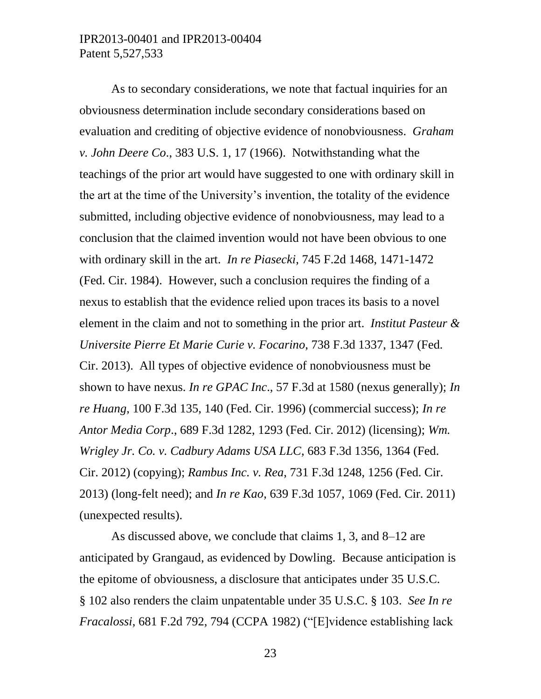As to secondary considerations, we note that factual inquiries for an obviousness determination include secondary considerations based on evaluation and crediting of objective evidence of nonobviousness. *Graham v. John Deere Co*., 383 U.S. 1, 17 (1966). Notwithstanding what the teachings of the prior art would have suggested to one with ordinary skill in the art at the time of the University's invention, the totality of the evidence submitted, including objective evidence of nonobviousness, may lead to a conclusion that the claimed invention would not have been obvious to one with ordinary skill in the art. *In re Piasecki*, 745 F.2d 1468, 1471-1472 (Fed. Cir. 1984). However, such a conclusion requires the finding of a nexus to establish that the evidence relied upon traces its basis to a novel element in the claim and not to something in the prior art. *Institut Pasteur & Universite Pierre Et Marie Curie v. Focarino*, 738 F.3d 1337, 1347 (Fed. Cir. 2013). All types of objective evidence of nonobviousness must be shown to have nexus. *In re GPAC Inc*., 57 F.3d at 1580 (nexus generally); *In re Huang*, 100 F.3d 135, 140 (Fed. Cir. 1996) (commercial success); *In re Antor Media Corp*., 689 F.3d 1282, 1293 (Fed. Cir. 2012) (licensing); *Wm. Wrigley Jr. Co. v. Cadbury Adams USA LLC*, 683 F.3d 1356, 1364 (Fed. Cir. 2012) (copying); *Rambus Inc. v. Rea*, 731 F.3d 1248, 1256 (Fed. Cir. 2013) (long-felt need); and *In re Kao*, 639 F.3d 1057, 1069 (Fed. Cir. 2011) (unexpected results).

As discussed above, we conclude that claims 1, 3, and 8–12 are anticipated by Grangaud, as evidenced by Dowling. Because anticipation is the epitome of obviousness, a disclosure that anticipates under 35 U.S.C. § 102 also renders the claim unpatentable under 35 U.S.C. § 103. *See In re Fracalossi*, 681 F.2d 792, 794 (CCPA 1982) ("[E]vidence establishing lack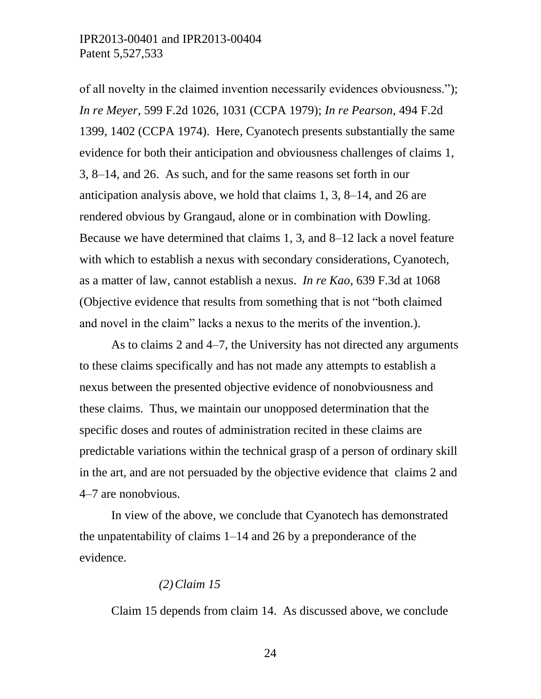of all novelty in the claimed invention necessarily evidences obviousness."); *In re Meyer*, 599 F.2d 1026, 1031 (CCPA 1979); *In re Pearson*, 494 F.2d 1399, 1402 (CCPA 1974). Here, Cyanotech presents substantially the same evidence for both their anticipation and obviousness challenges of claims 1, 3, 8–14, and 26. As such, and for the same reasons set forth in our anticipation analysis above, we hold that claims 1, 3, 8–14, and 26 are rendered obvious by Grangaud, alone or in combination with Dowling. Because we have determined that claims 1, 3, and 8–12 lack a novel feature with which to establish a nexus with secondary considerations, Cyanotech, as a matter of law, cannot establish a nexus. *In re Kao*, 639 F.3d at 1068 (Objective evidence that results from something that is not "both claimed and novel in the claim" lacks a nexus to the merits of the invention.).

As to claims 2 and 4–7, the University has not directed any arguments to these claims specifically and has not made any attempts to establish a nexus between the presented objective evidence of nonobviousness and these claims. Thus, we maintain our unopposed determination that the specific doses and routes of administration recited in these claims are predictable variations within the technical grasp of a person of ordinary skill in the art, and are not persuaded by the objective evidence that claims 2 and 4–7 are nonobvious.

In view of the above, we conclude that Cyanotech has demonstrated the unpatentability of claims 1–14 and 26 by a preponderance of the evidence.

#### *(2)Claim 15*

Claim 15 depends from claim 14. As discussed above, we conclude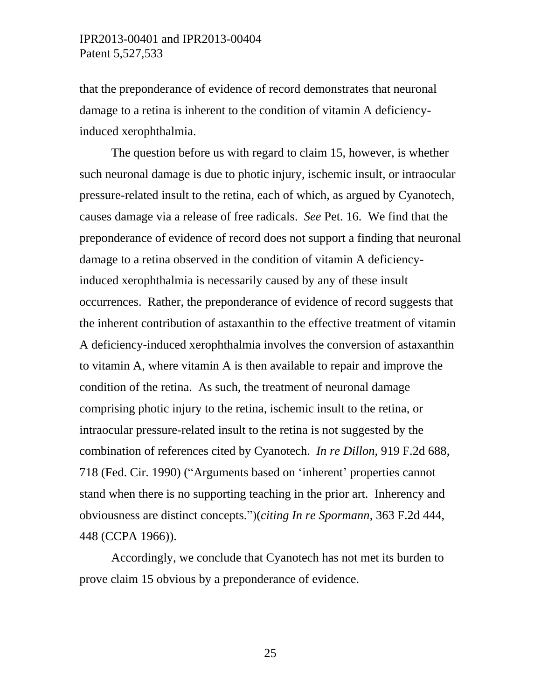that the preponderance of evidence of record demonstrates that neuronal damage to a retina is inherent to the condition of vitamin A deficiencyinduced xerophthalmia.

The question before us with regard to claim 15, however, is whether such neuronal damage is due to photic injury, ischemic insult, or intraocular pressure-related insult to the retina, each of which, as argued by Cyanotech, causes damage via a release of free radicals. *See* Pet. 16. We find that the preponderance of evidence of record does not support a finding that neuronal damage to a retina observed in the condition of vitamin A deficiencyinduced xerophthalmia is necessarily caused by any of these insult occurrences. Rather, the preponderance of evidence of record suggests that the inherent contribution of astaxanthin to the effective treatment of vitamin A deficiency-induced xerophthalmia involves the conversion of astaxanthin to vitamin A, where vitamin A is then available to repair and improve the condition of the retina. As such, the treatment of neuronal damage comprising photic injury to the retina, ischemic insult to the retina, or intraocular pressure-related insult to the retina is not suggested by the combination of references cited by Cyanotech. *In re Dillon*, 919 F.2d 688, 718 (Fed. Cir. 1990) ("Arguments based on 'inherent' properties cannot stand when there is no supporting teaching in the prior art. Inherency and obviousness are distinct concepts.")(*citing In re Spormann*, 363 F.2d 444, 448 (CCPA 1966)).

Accordingly, we conclude that Cyanotech has not met its burden to prove claim 15 obvious by a preponderance of evidence.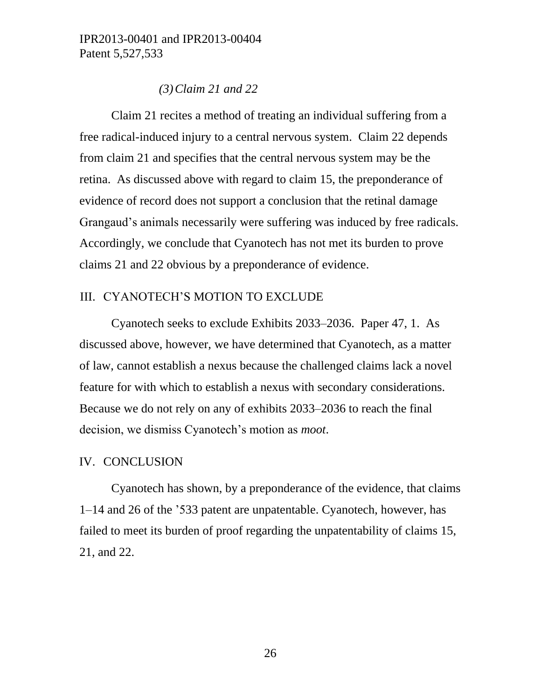#### *(3)Claim 21 and 22*

Claim 21 recites a method of treating an individual suffering from a free radical-induced injury to a central nervous system. Claim 22 depends from claim 21 and specifies that the central nervous system may be the retina. As discussed above with regard to claim 15, the preponderance of evidence of record does not support a conclusion that the retinal damage Grangaud's animals necessarily were suffering was induced by free radicals. Accordingly, we conclude that Cyanotech has not met its burden to prove claims 21 and 22 obvious by a preponderance of evidence.

#### III. CYANOTECH'S MOTION TO EXCLUDE

Cyanotech seeks to exclude Exhibits 2033–2036. Paper 47, 1. As discussed above, however, we have determined that Cyanotech, as a matter of law, cannot establish a nexus because the challenged claims lack a novel feature for with which to establish a nexus with secondary considerations. Because we do not rely on any of exhibits 2033–2036 to reach the final decision, we dismiss Cyanotech's motion as *moot*.

#### IV. CONCLUSION

Cyanotech has shown, by a preponderance of the evidence, that claims 1–14 and 26 of the '533 patent are unpatentable. Cyanotech, however, has failed to meet its burden of proof regarding the unpatentability of claims 15, 21, and 22.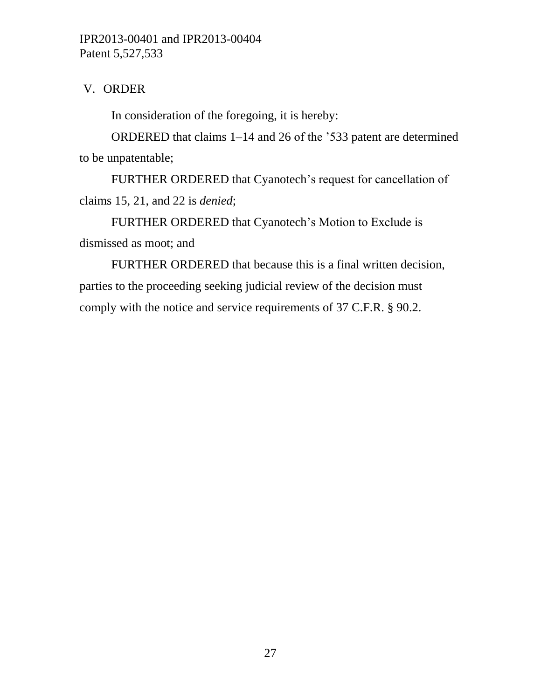# V. ORDER

In consideration of the foregoing, it is hereby:

ORDERED that claims 1–14 and 26 of the '533 patent are determined to be unpatentable;

FURTHER ORDERED that Cyanotech's request for cancellation of claims 15, 21, and 22 is *denied*;

FURTHER ORDERED that Cyanotech's Motion to Exclude is dismissed as moot; and

FURTHER ORDERED that because this is a final written decision, parties to the proceeding seeking judicial review of the decision must comply with the notice and service requirements of 37 C.F.R. § 90.2.